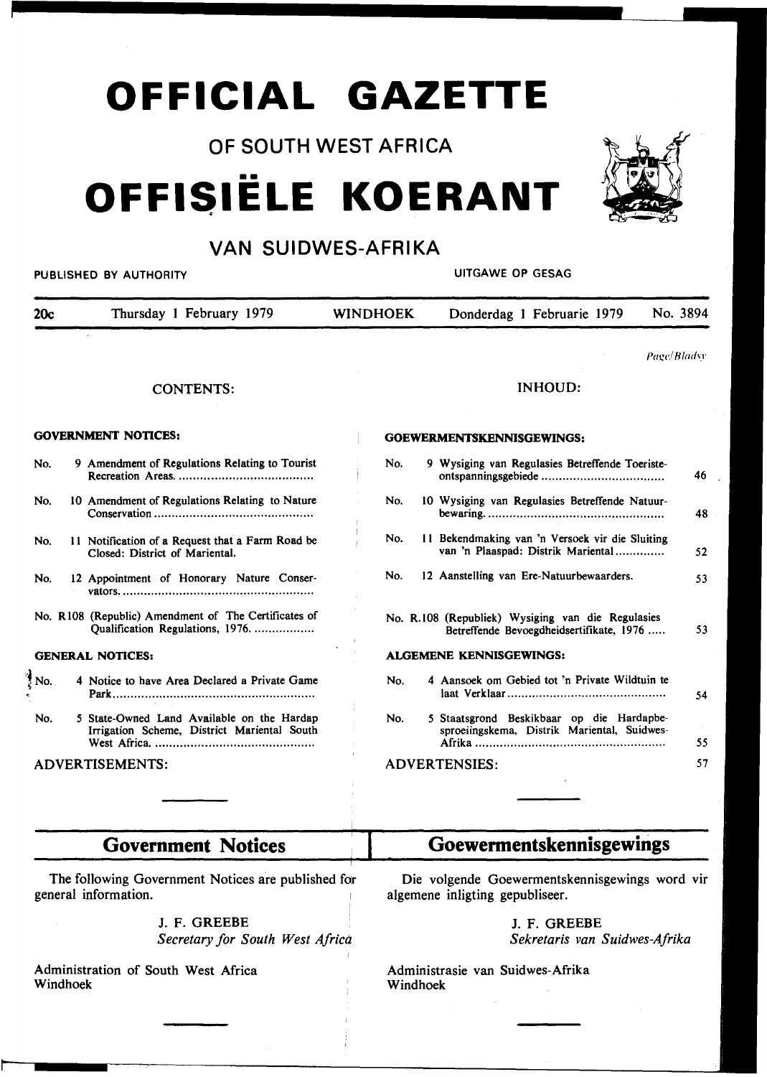## **OFFICIAL GAZETTE**

OF SOUTH WEST AFRICA

# •• **OFFISIELE** . **KOERANT**



### VAN SUIDWES-AFRIKA

### PUBLISHED BY AUTHORITY **AUTHORITY CONSUMING A SECOND ACT OF A SECOND A**UTGAWE OP GESAG

20c Thursday 1 February 1979 WINDHOEK Donderdag 1 Februarie 1979 No. 3894 CONTENTS: GOVERNMENT NOTICES: No. 9 Amendment of Regulations Relating to Tourist Recreation Areas ...................................... . No. 10 Amendment of Regulations Relating to Nature Conservation ............................................ . No. II Notification of a Request that a Farm Road be Closed: District of Mariental. No. 12 Appointment of Honorary Nature Conservators ...................................................... . No. RI08 (Republic) Amendment of The Certificates of Qualification Regulations, 1976. ................. GENERAL NOTICES: No. 4 Notice to have Area Declared a Private Game Park ........................................................ . No. 5 State-Owned Land Available on the Hardap Irrigation Scheme, District Mariental South West Africa ............................................. . ADVERTISEMENTS:  $Page/B$ *ladsy* INHOUD: GOEWERMENTSKENNISGEWINGS: No. 9 Wysiging van Regulasies Betreffende Toeristeontspanningsgebiede .................................. . No. 10 Wysiging van Regulasies Betreffende Natuurbewaring .................................................. . No. II Bekendmaking van 'n Versoek vir die Sluiting van 'n Plaaspad: Distrik Mariental .............. No. 12 Aanstelling van Ere-Natuurbewaarders. No. R.l 08 (Republiek) Wysiging van die Regulasies Betreffende Bevoegdheidsertifikate, 1976 ..... ALGEMENE KENNISGEWINGS: No. 4 Aansoek om Gebied tot 'n Private Wildtuin te No. laat Verklaar ............................................ . 5 Staatsgrond Beskikbaar op die Hardapbesproeiingskema, Distrik Mariental, Suidwes-Afrika ..................................................... . ADVERTENSIES: 46 48 52 53 53 54 55 57

| <b>Government Notices</b> | Goewermentskennisgewings |
|---------------------------|--------------------------|
|                           |                          |

The following Government Notices are published for general information.

> J. F. GREEBE *Secretary for South West Africa*

Administration of South West Africa Windhoek

Die volgende Goewermentskennisgewings word vir algemene inligting gepubliseer.

> J. F. GREEBE *Sekretaris van Suidwes-Afrika*

Administrasie van Suidwes-Afrika Windhoek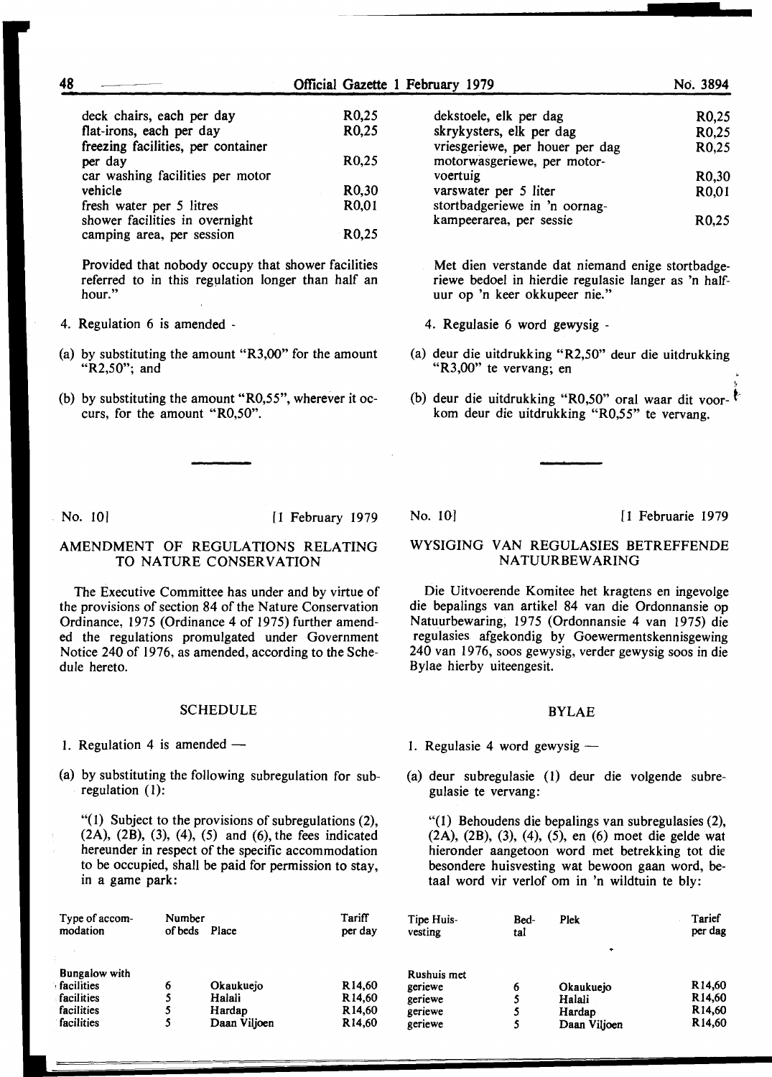| deck chairs, each per day<br>flat-irons, each per day | R0,25<br>R0,25     |
|-------------------------------------------------------|--------------------|
| freezing facilities, per container                    |                    |
| per day                                               | R <sub>0</sub> ,25 |
| car washing facilities per motor                      |                    |
| vehicle                                               | R <sub>0</sub> ,30 |
| fresh water per 5 litres                              | R0,01              |
| shower facilities in overnight                        |                    |
| camping area, per session                             | R <sub>0</sub> .25 |

Provided that nobody occupy that shower facilities referred to in this regulation longer than half an hour."

- 4. Regulation 6 is amended -
- (a) by substituting the amount "R3,00" for the amount "R2,50"; and
- (b) by substituting the amount "R0,55", wherever it occurs, for the amount "R0,50".

| dekstoele, elk per dag          | R <sub>0</sub> ,25 |
|---------------------------------|--------------------|
| skrykysters, elk per dag        | R0,25              |
| vriesgeriewe, per houer per dag | R0,25              |
| motorwasgeriewe, per motor-     |                    |
| voertuig                        | R <sub>0</sub> ,30 |
| varswater per 5 liter           | R0,01              |
| stortbadgeriewe in 'n oornag-   |                    |
| kampeerarea, per sessie         | R <sub>0.25</sub>  |
|                                 |                    |

- Met dien verstande dat niemand enige stortbadgeriewe bedoel in hierdie regulasie Ianger as 'n halfuur op 'n keer okkupeer nie."
- 4. Regulasie 6 word gewysig -
- (a) deur die uitdrukking "R2,50" deur die uitdrukking "R3,00" te vervang; en
- (b) deur die uitdrukking "R0,50" oral waar dit voorkom deur die uitdrukking "R0,55" te vervang.

No. 10) [1 February 1979

### AMENDMENT OF REGULATIONS RELATING TO NATURE CONSERVATION

The Executive Committee has under and by virtue of the provisions of section 84 of the Nature Conservation Ordinance, 1975 (Ordinance 4 of 1975) further amended the regulations promulgated under Government Notice 240 of 1976, as amended, according to the Schedule hereto.

#### **SCHEDULE**

- 1. Regulation 4 is amended  $-$
- (a) by substituting the following subregulation for subregulation (1):

"(I) Subject to the provisions of subregulations (2),  $(2A)$ ,  $(2B)$ ,  $(3)$ ,  $(4)$ ,  $(5)$  and  $(6)$ , the fees indicated hereunder in respect of the specific accommodation to be occupied, shall be paid for permission to stay, in a game park:

| Type of accom-       | Number  |              | Tariff             |
|----------------------|---------|--------------|--------------------|
| modation             | of beds | Place        | per day            |
| <b>Bungalow</b> with |         |              |                    |
| facilities           | 6       | Okaukuejo    | R <sub>14,60</sub> |
| facilities           | 5       | Halali       | R <sub>14,60</sub> |
| facilities           | 5       | Hardap       | R <sub>14,60</sub> |
| facilities           | 5       | Daan Viljoen | R <sub>14.60</sub> |

Tipe Huisvesting

Rushuis met geriewe geriewe geriewe geriewe

;

### WYSIGING VAN REGULASIES BETREFFENDE NATUURBEW ARING

Die Uitvoerende Komitee het kragtens en ingevolge die bepalings van artikel 84 van die Ordonnansie op Natuurbewaring, 1975 (Ordonnansie 4 van 1975) die regulasies. afgekondig by Goewermentskennisgewing 240 van 1976, soos gewysig, verder gewysig soos in die Bylae hierby uiteengesit.

#### BYLAE

1. Regulasie 4 word gewysig  $-$ 

Bedtal

(a) deur subregulasie (1) deur die volgende subregulasie te vervang:

"(1) Behoudens die bepalings van subregulasies (2), (2A), (2B), (3), (4), (5), en (6) moet die gelde wat hieronder aangetoon word met betrekking tot die besondere huisvesting wat bewoon gaan word, betaal word vir verlof om in 'n wildtuin te bly:

Plek

Okaukuejo Halali **Hardap** Daan Viljoen

| Tarief  |
|---------|
| per dag |
|         |

R14,60 Rl4,60 R14,60 Rl4,60

No. 10] [1 Februarie 1979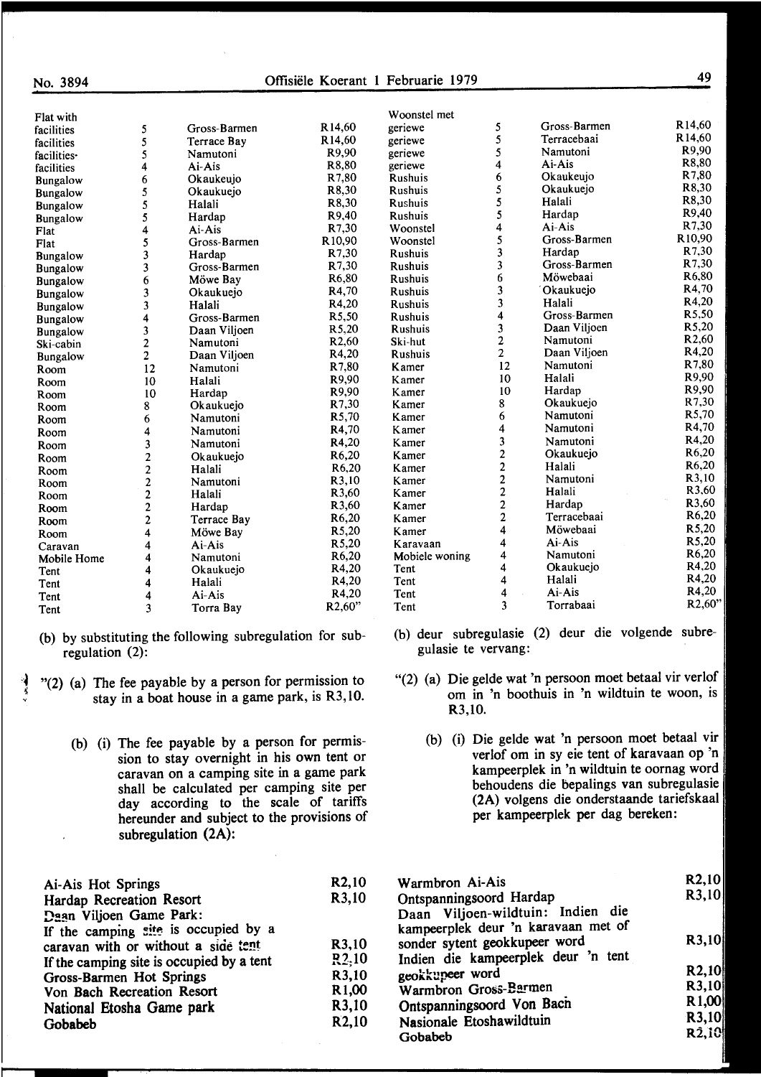| I |
|---|
|---|

| Flat with       |                                                   |              |                     | Woonstel met   |
|-----------------|---------------------------------------------------|--------------|---------------------|----------------|
| facilities      | 5                                                 | Gross-Barmen | R14,60              | geriewe        |
| facilities      | 5                                                 | Terrace Bay  | R14,60              | geriewe        |
| facilities-     | 5                                                 | Namutoni     | R9,90               | geriewe        |
| facilities      | 4                                                 | Ai-Ais       | R8,80               | geriewe        |
| <b>Bungalow</b> | 6                                                 | Okaukeujo    | R7,80               | Rushuis        |
| Bungalow        | 5                                                 | Okaukuejo    | R8,30               | Rushuis        |
| Bungalow        | 5                                                 | Halali       | R8,30               | Rushuis        |
| <b>Bungalow</b> | 5                                                 | Hardap       | R9,40               | <b>Rushuis</b> |
| Flat            | 4                                                 | Ai-Ais       | R7.30               | Woonstel       |
| Flat            |                                                   | Gross-Barmen | R <sub>10</sub> ,90 | Woonstel       |
| Bungalow        | $\frac{5}{3}$                                     | Hardap       | R7,30               | Rushuis        |
| Bungalow        | 3                                                 | Gross-Barmen | R7,30               | <b>Rushuis</b> |
| <b>Bungalow</b> | 6                                                 | Möwe Bay     | R <sub>6</sub> ,80  | <b>Rushuis</b> |
| Bungalow        | 3                                                 | Okaukuejo    | R4,70               | <b>Rushuis</b> |
| Bungalow        | $\overline{\mathbf{3}}$                           | Halali       | R4,20               | Rushuis        |
| <b>Bungalow</b> | 4                                                 | Gross-Barmen | R <sub>5</sub> ,50  | Rushuis        |
| <b>Bungalow</b> |                                                   | Daan Viljoen | R5,20               | Rushuis        |
| Ski-cabin       | $\frac{3}{2}$                                     | Namutoni     | R <sub>2</sub> ,60  | Ski-hut        |
| Bungalow        | $\overline{c}$                                    | Daan Viljoen | R4,20               | <b>Rushuis</b> |
| Room            | 12                                                | Namutoni     | R7,80               | Kamer          |
| Room            | 10                                                | Halali       | R9,90               | Kamer          |
| Room            | 10                                                | Hardap       | R9,90               | Kamer          |
| Room            | 8                                                 | Okaukuejo    | R7,30               | Kamer          |
| Room            | 6                                                 | Namutoni     | R <sub>5</sub> ,70  | Kamer          |
| Room            | 4                                                 | Namutoni     | R4,70               | <b>K</b> amer  |
| Room            | 3                                                 | Namutoni     | R4,20               | Kamer          |
| Room            |                                                   | Okaukuejo    | R6,20               | Kamer          |
| Room            | $\begin{array}{c}\n2 \\ 2 \\ 2 \\ 2\n\end{array}$ | Halali       | R <sub>6</sub> ,20  | Kamer          |
| Room            |                                                   | Namutoni     | R3,10               | Kamer          |
| Room            |                                                   | Halali       | R3,60               | Kamer          |
| Room            |                                                   | Hardap       | R3,60               | Kamer          |
| Room            | $\overline{\mathbf{c}}$                           | Terrace Bay  | R <sub>6</sub> ,20  | Kamer          |
| Room            | 4                                                 | Möwe Bay     | R5,20               | Kamer          |
| Caravan         | 4                                                 | $Ai-Ais$     | R5,20               | Karavaan       |
| Mobile Home     | 4                                                 | Namutoni     | R6,20               | Mobiele won    |
| Tent            | 4                                                 | Okaukuejo    | R4,20               | Tent           |
| Tent            | 4                                                 | Halali       | R4,20               | Tent           |
| Tent            | 4                                                 | Ai-Ais       | R4,20               | Tent           |
| Tent            | $\overline{\mathbf{3}}$                           | Torra Bay    | R <sub>2</sub> ,60" | Tent           |
|                 |                                                   |              |                     |                |

- (b) by substituting the following subregulation for subregulation (2):
- "(2) (a) The fee payable by a person for permission to stay in a boat house in a game park, is R3, 10.
	- (b) (i) The fee payable by a person for permission to stay overnight in his own tent or caravan on a camping site in a game park shall be calculated per camping site per day according to the scale of tariffs hereunder and subject to the provisions of subregulation (2A):

| Ai-Ais Hot Springs                        | R <sub>2</sub> ,10 |
|-------------------------------------------|--------------------|
| Hardap Recreation Resort                  | R3,10              |
| Daan Viljoen Game Park:                   |                    |
| If the camping site is occupied by a      |                    |
| caravan with or without a side tent       | R3,10              |
| If the camping site is occupied by a tent | R2.10              |
| <b>Gross-Barmen Hot Springs</b>           | R3,10              |
| Von Bach Recreation Resort                | R <sub>1</sub> ,00 |
| National Etosha Game park                 | R3,10              |
| Gobabeb                                   | R2,10              |

| geriewe        | 5                                          | Gross-Barmen | R14,60             |
|----------------|--------------------------------------------|--------------|--------------------|
| geriewe        | 5                                          | Terracebaai  | R14,60             |
| geriewe        | 5                                          | Namutoni     | R9,90              |
| geriewe        | 4                                          | Ai-Ais       | R8,80              |
| Rushuis        | 6                                          | Okaukeujo    | R7,80              |
| Rushuis        | 5                                          | Okaukuejo    | R8,30              |
| Rushuis        | 5                                          | Halali       | R8,30              |
| <b>Rushuis</b> | 5                                          | Hardap       | R9,40              |
| Woonstel       | 4                                          | Ai-Ais       | R7,30              |
| Woonstel       |                                            | Gross-Barmen | R10,90             |
| Rushuis        | $\frac{5}{3}$                              | Hardap       | R7,30              |
| <b>Rushuis</b> | $\overline{\mathbf{3}}$                    | Gross-Barmen | R7,30              |
| Rushuis        | 6                                          | Möwebaai     | R <sub>6</sub> ,80 |
| Rushuis        | $\overline{\mathbf{3}}$                    | Okaukuejo    | R4,70              |
| Rushuis        | $\overline{\mathbf{3}}$                    | Halali       | R4,20              |
| Rushuis        | 4                                          | Gross-Barmen | R5,50              |
| <b>Rushuis</b> |                                            | Daan Viljoen | R <sub>5</sub> ,20 |
| Ski-hut        |                                            | Namutoni     | R <sub>2</sub> ,60 |
| <b>Rushuis</b> | $\begin{array}{c} 3 \\ 2 \\ 2 \end{array}$ | Daan Viljoen | R4,20              |
| Kamer          | 12                                         | Namutoni     | R7,80              |
| Kamer          | 10                                         | Halali       | R9,90              |
| Kamer          | 10                                         | Hardap       | R9,90              |
| Kamer          | 8                                          | Okaukuejo    | R7,30              |
| Kamer          | 6                                          | Namutoni     | R5,70              |
| <b>K</b> amer  | 4                                          | Namutoni     | R4,70              |
| Kamer          |                                            | Namutoni     | R4,20              |
| Kamer          |                                            | Okaukuejo    | R <sub>6</sub> ,20 |
| Kamer          |                                            | Halali       | R <sub>6</sub> ,20 |
| Kamer          |                                            | Namutoni     | R3,10              |
| Kamer          |                                            | Halali       | R3,60              |
| Kamer          |                                            | Hardap       | R3,60              |
| Kamer          | 3222222                                    | Terracebaai  | R <sub>6</sub> ,20 |
| Kamer          |                                            | Möwebaai     | R5,20              |
| Karavaan       | 4                                          | Ai-Ais       | R5,20              |
| Mobiele woning | 4                                          | Namutoni     | R6,20              |
| Tent           | 4                                          | Okaukuejo    | R4,20              |
| Tent           | $\overline{\mathbf{4}}$                    | Halali       | R4,20              |
| Tent           | 4                                          | Ai-Ais       | R4,20              |
| Tent           | 3                                          | Torrabaai    | R2,60"             |
|                |                                            |              |                    |

- (b) deur subregulasie (2) deur die volgende gulasie te vervang:
- "(2) (a) Die gelde wat 'n persoon moet betaal vir verlof om in 'n boothuis in 'n wildtuin te woon, is R3,l0.
	- (b) (i) Die gelde wat 'n persoon moet betaal vir verlof om in sy eie tent of karavaan op 'n kampeerplek in 'n wildtuin te oornag word behoudens die bepalings van subregulasie (2A) volgens die onderstaande tariefskaal per kampeerplek per dag bereken:

| Warmbron Ai-Ais                     | R2,10               |
|-------------------------------------|---------------------|
| Ontspanningsoord Hardap             | R3,10               |
| Daan Viljoen-wildtuin: Indien die   |                     |
| kampeerplek deur 'n karavaan met of |                     |
| sonder sytent geokkupeer word       | R3,10               |
| Indien die kampeerplek deur 'n tent |                     |
| geokkupeer word                     | R <sub>2</sub> ,10  |
| Warmbron Gross-Barmen               | R3,10               |
| Ontspanningsoord Von Bach           | R1,00               |
| Nasionale Etoshawildtuin            | R3,10               |
| Gobabeb                             | $R\tilde{2}$ , $10$ |
|                                     |                     |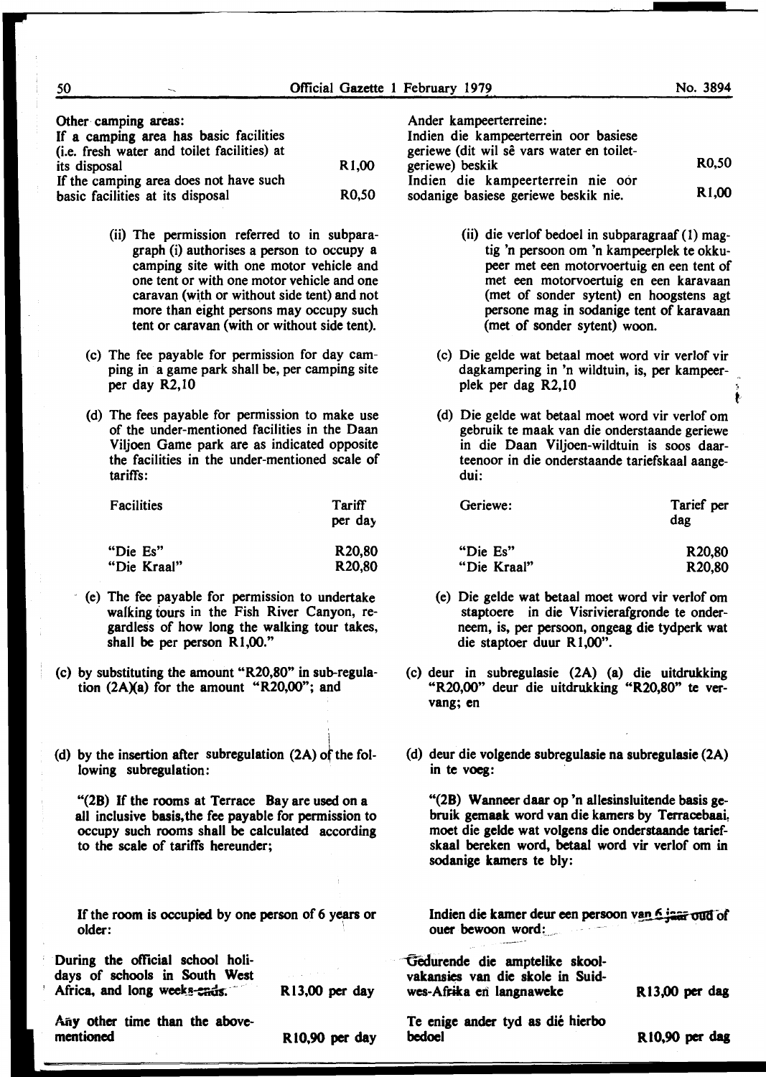~ t·

Other camping areas:

| If a camping area has basic facilities<br>(i.e. fresh water and toilet facilities) at |                    |
|---------------------------------------------------------------------------------------|--------------------|
| its disposal                                                                          | R <sub>1</sub> ,00 |
| If the camping area does not have such                                                |                    |
| basic facilities at its disposal                                                      | R <sub>0</sub> .50 |

- (ii) The permission referred to in subparagraph (i) authorises a person to occupy a camping site with one motor vehicle and one tent or with one motor vehicle and one caravan (with or without side tent) and not more than eight persons may occupy such tent or caravan (with or without side tent).
- (c) The fee payable for permission for day camping in a game park shall be, per camping site per day R2, 10
- (d) The fees payable for permission to make use of the under-mentioned facilities in the Daan Viljoen Game park are as indicated opposite the facilities in the under-mentioned scale of tariffs:

| Facilities  | Tariff              |  |
|-------------|---------------------|--|
|             | per day             |  |
| "Die Es"    | R <sub>20</sub> ,80 |  |
| "Die Kraal" | R <sub>20</sub> ,80 |  |

- $\epsilon$  (e) The fee payable for permission to undertake walking tours in the Fish River Canyon, regardless of how long the walking tour takes, shall be per person R1,00."
- (c) by substituting the amount "R20,80" in sub-regulation  $(2A)(a)$  for the amount "R20,00"; and
- (d) by the insertion after subregulation  $(2A)$  of the following subregulation:

"(28) If the rooms at Terrace Bay are used on a all inclusive basis,the fee payable for permission to occupy such rooms shall be calculated according to the scale of tariffs hereunder;

If the room is occupied by one person of 6 years or older:

I

Ander kampeerterreine:

| Indien die kampeerterrein oor basiese                                     |                    |
|---------------------------------------------------------------------------|--------------------|
| geriewe (dit wil sê vars water en toilet-<br>geriewe) beskik              | <b>R0.50</b>       |
| Indien die kampeerterrein nie oor<br>sodanige basiese geriewe beskik nie. | R <sub>1</sub> ,00 |

- (ii) die verlof bedoel in subparagraaf ( 1) magtig 'n persoon om 'n kampeerplek te okkupeer met een motorvoertuig en een tent of met een motorvoertuig en een karavaan (met of sonder sytent) en hoogstens agt persone mag in sodanige tent of karavaan (met of sonder sytent) woon.
- (c) Die gelde wat betaal moet word vir verlof vir dagkampering in 'n wildtuin, is, per kampeerplek per dag R2, 10
- (d) Die gelde wat betaal moet word vir verlof om gebruik te maak van die onderstaande geriewe in die Daan Viljoen-wildtuin is soos daarteenoor in die onderstaande tariefskaal aangedui:

| Geriewe:    | Tarief per<br>dag   |
|-------------|---------------------|
| "Die Es"    | R <sub>20</sub> ,80 |
| "Die Kraal" | R <sub>20</sub> ,80 |

- (e) Die gelde wat betaal moet word vir verlof om staptoere in die Visrivierafgronde te onderneem, is, per persoon, ongeag die tydperk wat die staptoer duur R1,00".
- (c) deur in subregulasie (2A) (a) die uitdrukking "R20,00" deur die uitdrukking "R20,80" te vervang; en
- (d) deur die volgende subregulasie na subregulasie (2A) in te voeg:

"(28) Wanneer daar op 'n allesinsluitende basis gebruik gemaak word van die kamers by Terracebaai, moet die gelde wat volgens die onderstaande tariefskaal bereken word, betaal word vir verlof om in sodanige kamers te bly:

Indien die kamer deur een persoon van 6 jaar oud of ouer bewoon word: \_

| During the official school holi-<br>days of schools in South West<br>Africa, and long weeks-ends. | R13,00 per day | Gedurende die amptelike skool-<br>vakansies van die skole in Suid-<br>wes-Afrika en langnaweke | $R13,00$ per dag |
|---------------------------------------------------------------------------------------------------|----------------|------------------------------------------------------------------------------------------------|------------------|
| Any other time than the above-<br>mentioned                                                       | R10,90 per day | Te enige ander tyd as dié hierbo<br>bedoel                                                     | R10,90 per dag   |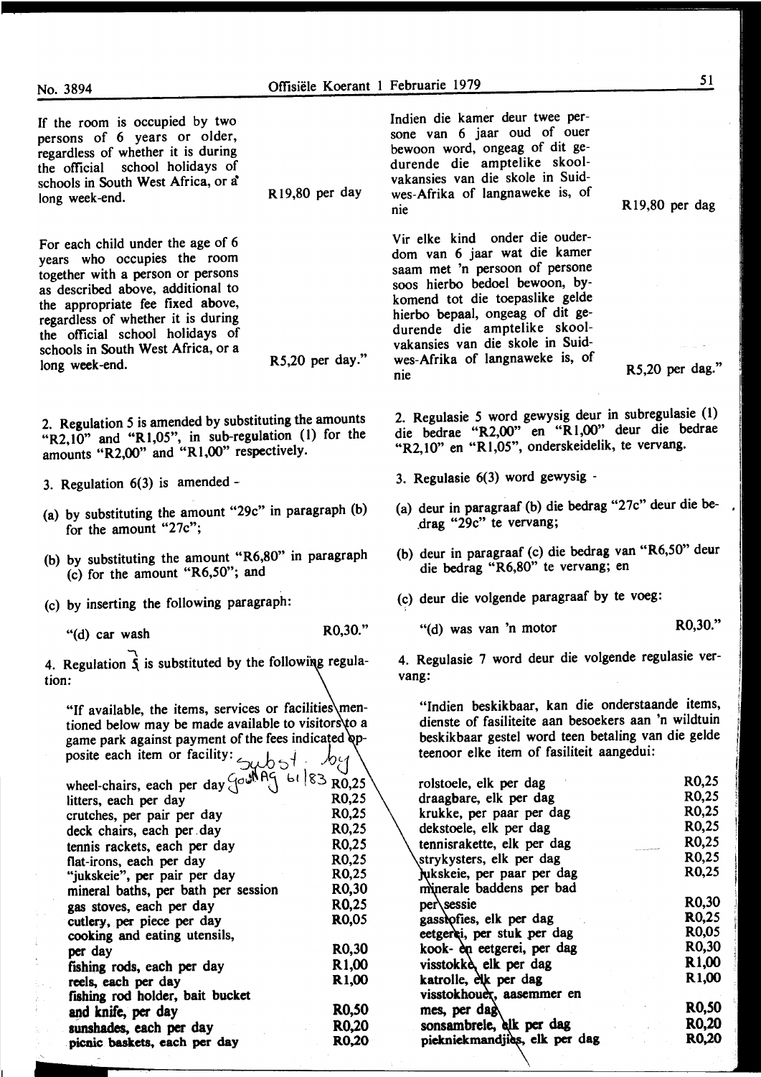R19,80 per day

R5,20 per day."

lndien die kamer deur twee persone van 6 jaar oud of ouer bewoon word, ongeag of dit gedurende die amptelike skoolvakansies van die skole in Suidwes-Afrika of langnaweke is, of nie

Vir elke kind onder die ouderdom van 6 jaar wat die kamer saam met 'n persoon of persone soos hierbo bedoel bewoon, bykomend tot die toepaslike gelde hierbo bepaal, ongeag of dit gedurende die amptelike skoolvakansies van die skole in Suidwes-Afrika of langnaweke is, of nie

R5,20 per dag."

Rl9,80 per dag

2. Regulasie *5* word gewysig deur in subregulasie (1) die bedrae "R2,00" en "R 1 ,00" deur die bedrae "R2,10" en "Rl,05", onderskeidelik, te vervang.

- 3. Regulasie 6(3) word gewysig -
- (a) deur in paragraaf (b) die bedrag "27c" deur die be-.drag "29c" te vervang;
- (b) deur in paragraaf (c) die bedrag van "R6,50" deur die bedrag "R6,80" te vervang; en

(c) deur die volgende paragraaf by te voeg:

"(d) was van 'n motor R0,30."

4. Regulasie 7 word deur die volgende regulasie vervang:

"Indien beskikbaar, kan die onderstaande items, dienste of fasiliteite aan besoekers aan 'n wildtuin beskikbaar gestel word teen betaling van die gelde teenoor elke item of fasiliteit aangedui:

| rolstoele, elk per dag     |                               | R0,25              |
|----------------------------|-------------------------------|--------------------|
| draagbare, elk per dag     |                               | R0,25              |
| krukke, per paar per dag   |                               | R <sub>0</sub> ,25 |
| dekstoele, elk per dag     |                               | R <sub>0</sub> ,25 |
| tennisrakette, elk per dag |                               | R0,25              |
| strykysters, elk per dag   |                               | R <sub>0</sub> ,25 |
| jukskeie, per paar per dag |                               | R0,25              |
| minerale baddens per bad   |                               |                    |
| per\sessie                 |                               | R <sub>0</sub> ,30 |
| gassiofies, elk per dag    |                               | R <sub>0</sub> ,25 |
| eetgerei, per stuk per dag |                               | R <sub>0</sub> ,05 |
| kook- èn eetgerei, per dag |                               | R <sub>0</sub> ,30 |
| visstokke, elk per dag     |                               | R <sub>1</sub> ,00 |
| katrolle, elk per dag      |                               | R <sub>1</sub> ,00 |
| visstokhouer, aasemmer en  |                               |                    |
| mes, per dag               |                               | <b>RO,50</b>       |
| sonsambrele, elk per dag   |                               | <b>RO,20</b>       |
|                            | piekniekmandjies, elk per dag | <b>RO,20</b>       |
|                            |                               |                    |

If the room is occupied by two persons of 6 years or older, regardless of whether it is during the official school holidays of schools in South West Africa, or a long week -end.

For each child under the age of 6 years who occupies the room together with a person or persons as described above, additional to the appropriate fee fixed above, regardless of whether it is during the official school holidays of schools in South West Africa, or a long week -end.

2. Regulation 5 is amended by substituting the amounts "R2,10" and "Rl,05", in sub-regulation (I) for the amounts "R2,00" and "Rl,OO" respectively.

- 3. Regulation 6(3) is amended -
- (a) by substituting the amount "29c" in paragraph (b) for the amount "27c";
- (b) by substituting the amount "R6,80" in paragraph (c) for the amount "R6,50"; and

(c) by inserting the following paragraph:

 $^{\prime\prime}$ (d) car wash R0,30."

j

4. Regulation  $\overrightarrow{\mathbf{\hat{S}}}$  is substituted by the following regulation:

"If available, the items, services or facilities\mentioned below may be made available to visitors  $\&$  a game park against payment of the fees indicated opposite each item or facility:  $\epsilon_{\text{tot}}$   $\epsilon_{\text{tot}}$  .  $\eta_{\text{tot}}$ 

| wheel-chairs, each per day $\left\{\begin{array}{c} \sqrt{64} \\ \sqrt{10} \\ \sqrt{10} \end{array}\right\}$ (83 R0,25) |                    |
|-------------------------------------------------------------------------------------------------------------------------|--------------------|
| litters, each per day                                                                                                   | R0,25              |
| crutches, per pair per day                                                                                              | R <sub>0</sub> ,25 |
| deck chairs, each per day                                                                                               | R <sub>0</sub> ,25 |
| tennis rackets, each per day                                                                                            | R <sub>0</sub> ,25 |
| flat-irons, each per day                                                                                                | R0.25              |
| "jukskeie", per pair per day                                                                                            | R <sub>0</sub> ,25 |
| mineral baths, per bath per session                                                                                     | R0,30              |
| gas stoves, each per day                                                                                                | R <sub>0</sub> ,25 |
| cutlery, per piece per day                                                                                              | <b>RO,05</b>       |
| cooking and eating utensils,                                                                                            |                    |
| per day                                                                                                                 | R <sub>0</sub> ,30 |
| fishing rods, each per day                                                                                              | R <sub>1</sub> ,00 |
| reels, each per day                                                                                                     | R <sub>1</sub> ,00 |
| fishing rod holder, bait bucket                                                                                         |                    |
| and knife, per day                                                                                                      | R0,50              |
| sunshades, each per day                                                                                                 | R0,20              |
| picnic baskets, each per day                                                                                            | R <sub>0</sub> ,20 |